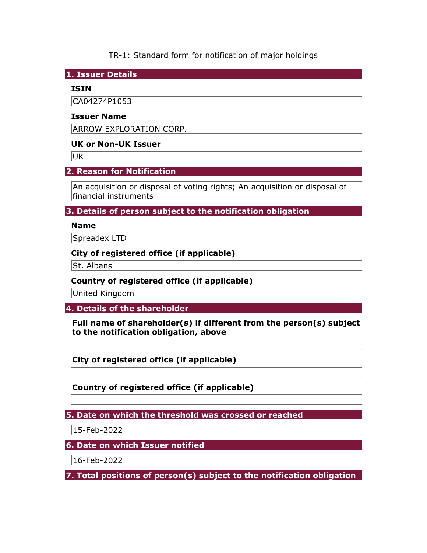TR-1: Standard form for notification of major holdings

1. Issuer Details

## ISIN

CA04274P1053

## Issuer Name

ARROW EXPLORATION CORP.

## UK or Non-UK Issuer

UK

## 2. Reason for Notification

An acquisition or disposal of voting rights; An acquisition or disposal of financial instruments

3. Details of person subject to the notification obligation

## Name

Spreadex LTD

## City of registered office (if applicable)

St. Albans

## Country of registered office (if applicable)

United Kingdom

4. Details of the shareholder

Full name of shareholder(s) if different from the person(s) subject to the notification obligation, above

City of registered office (if applicable)

Country of registered office (if applicable)

5. Date on which the threshold was crossed or reached

15-Feb-2022

6. Date on which Issuer notified

16-Feb-2022

7. Total positions of person(s) subject to the notification obligation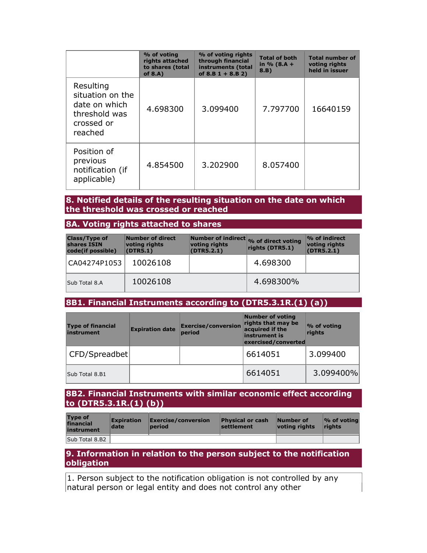|                                                                                          | % of voting<br>rights attached<br>to shares (total<br>of $8.A$ ) | % of voting rights<br>through financial<br>instruments (total<br>of $8.B 1 + 8.B 2)$ | <b>Total of both</b><br>in $% (8.A +$<br>8.B) | <b>Total number of</b><br>voting rights<br>held in issuer |
|------------------------------------------------------------------------------------------|------------------------------------------------------------------|--------------------------------------------------------------------------------------|-----------------------------------------------|-----------------------------------------------------------|
| Resulting<br>situation on the<br>date on which<br>threshold was<br>crossed or<br>reached | 4.698300                                                         | 3.099400                                                                             | 7.797700                                      | 16640159                                                  |
| Position of<br>previous<br>notification (if<br>applicable)                               | 4.854500                                                         | 3.202900                                                                             | 8.057400                                      |                                                           |

### 8. Notified details of the resulting situation on the date on which the threshold was crossed or reached

#### 8A. Voting rights attached to shares

| <b>Class/Type of</b><br>shares ISIN<br>code(if possible) | Number of direct<br>voting rights<br>(DTR5.1) | voting rights<br>(DTR5.2.1) | Number of indirect % of direct voting<br>rights (DTR5.1) | $\%$ of indirect<br>voting rights<br>(DTR5.2.1) |
|----------------------------------------------------------|-----------------------------------------------|-----------------------------|----------------------------------------------------------|-------------------------------------------------|
| CA04274P1053                                             | 10026108                                      |                             | 4.698300                                                 |                                                 |
| Sub Total 8.A                                            | 10026108                                      |                             | 4.698300%                                                |                                                 |

# 8B1. Financial Instruments according to (DTR5.3.1R.(1) (a))

| <b>Type of financial</b><br>instrument | <b>Expiration date</b> | <b>Exercise/conversion</b><br>period | <b>Number of voting</b><br>rights that may be<br>acquired if the<br>instrument is<br>exercised/converted | % of voting<br>rights |  |
|----------------------------------------|------------------------|--------------------------------------|----------------------------------------------------------------------------------------------------------|-----------------------|--|
| CFD/Spreadbet                          |                        |                                      | 6614051                                                                                                  | 3.099400              |  |
| Sub Total 8.B1                         |                        |                                      | 6614051                                                                                                  | 3.099400%             |  |

### 8B2. Financial Instruments with similar economic effect according to (DTR5.3.1R.(1) (b))

| <b>Type of</b><br>financial<br>instrument | <b>Expiration</b><br>date | Exercise/conversion<br>period | <b>Physical or cash</b><br>settlement | Number of<br>votina riahts | $\mathcal{O}_0$ of voting<br><b>rights</b> |
|-------------------------------------------|---------------------------|-------------------------------|---------------------------------------|----------------------------|--------------------------------------------|
| Sub Total 8.B2                            |                           |                               |                                       |                            |                                            |

### 9. Information in relation to the person subject to the notification obligation

1. Person subject to the notification obligation is not controlled by any natural person or legal entity and does not control any other